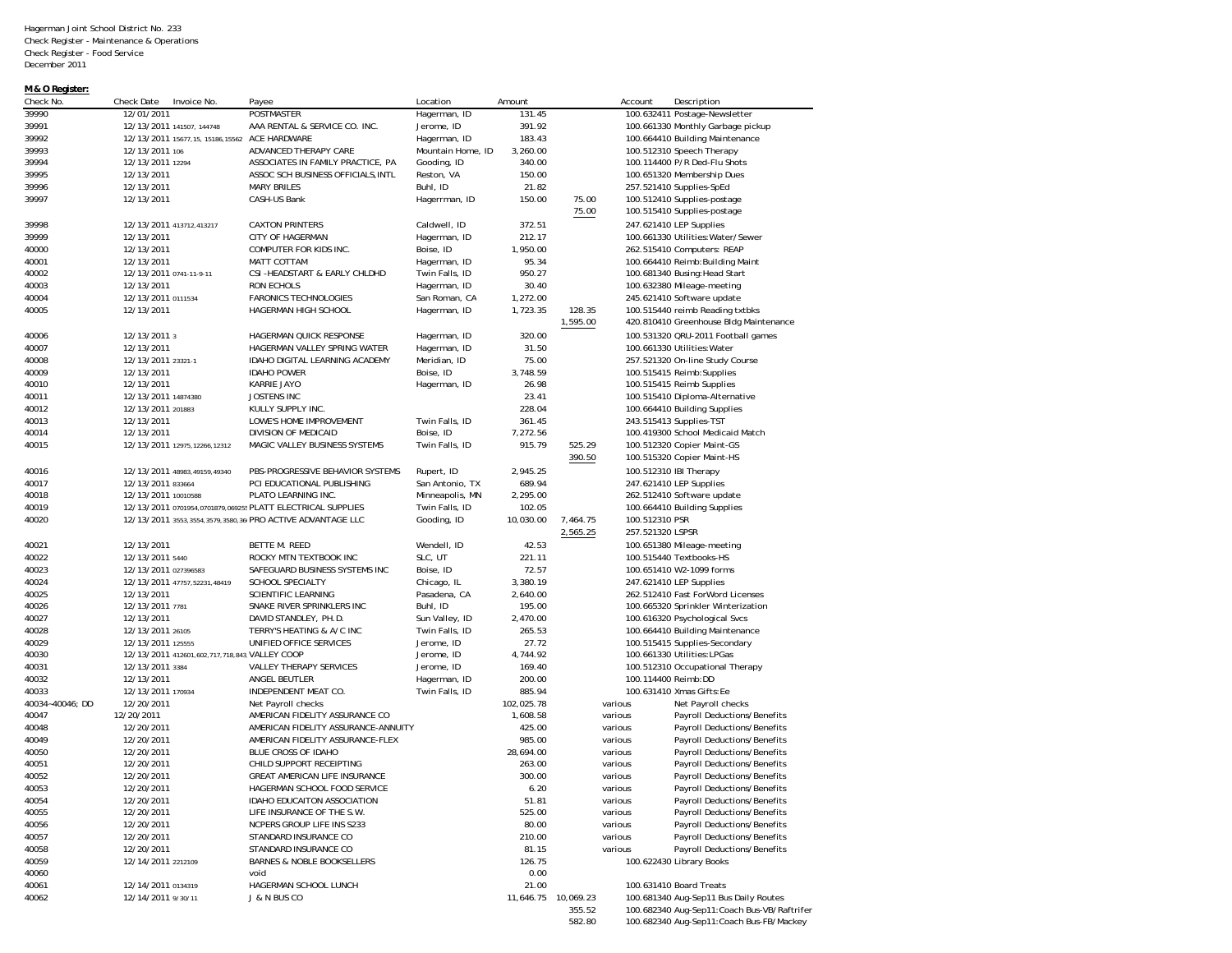| M & O Register: |                                                             |                                                                       |                   |                     |                    |                     |                                                                           |
|-----------------|-------------------------------------------------------------|-----------------------------------------------------------------------|-------------------|---------------------|--------------------|---------------------|---------------------------------------------------------------------------|
| Check No.       | Check Date<br>Invoice No.                                   | Payee                                                                 | Location          | Amount              |                    | Account             | Description                                                               |
| 39990           | 12/01/2011                                                  | POSTMASTER                                                            | Hagerman, ID      | 131.45              |                    |                     | 100.632411 Postage-Newsletter                                             |
| 39991           | 12/13/2011 141507, 144748                                   | AAA RENTAL & SERVICE CO. INC.                                         | Jerome, ID        | 391.92              |                    |                     | 100.661330 Monthly Garbage pickup                                         |
| 39992           | 12/13/2011 15677,15, 15186,15562                            | ACE HARDWARE                                                          | Hagerman, ID      | 183.43              |                    |                     | 100.664410 Building Maintenance                                           |
| 39993           | 12/13/2011 106                                              | ADVANCED THERAPY CARE                                                 | Mountain Home, ID | 3,260.00            |                    |                     | 100.512310 Speech Therapy                                                 |
| 39994           | 12/13/2011 12294                                            | ASSOCIATES IN FAMILY PRACTICE, PA                                     | Gooding, ID       | 340.00              |                    |                     | 100.114400 P/R Ded-Flu Shots                                              |
| 39995           | 12/13/2011                                                  | ASSOC SCH BUSINESS OFFICIALS, INTL                                    | Reston, VA        | 150.00              |                    |                     | 100.651320 Membership Dues                                                |
| 39996           | 12/13/2011                                                  | <b>MARY BRILES</b>                                                    | Buhl, ID          | 21.82               |                    |                     | 257.521410 Supplies-SpEd                                                  |
| 39997           | 12/13/2011                                                  | CASH-US Bank                                                          | Hagerrman, ID     | 150.00              | 75.00<br>75.00     |                     | 100.512410 Supplies-postage<br>100.515410 Supplies-postage                |
| 39998           | 12/13/2011 413712,413217                                    | <b>CAXTON PRINTERS</b>                                                | Caldwell, ID      | 372.51              |                    |                     | 247.621410 LEP Supplies                                                   |
| 39999           | 12/13/2011                                                  | CITY OF HAGERMAN                                                      | Hagerman, ID      | 212.17              |                    |                     | 100.661330 Utilities: Water/Sewer                                         |
| 40000           | 12/13/2011                                                  | COMPUTER FOR KIDS INC.                                                | Boise, ID         | 1,950.00            |                    |                     | 262.515410 Computers: REAP                                                |
| 40001           | 12/13/2011                                                  | MATT COTTAM                                                           | Hagerman, ID      | 95.34               |                    |                     | 100.664410 Reimb: Building Maint                                          |
| 40002           | 12/13/2011 0741-11-9-11                                     | CSI-HEADSTART & EARLY CHLDHD                                          | Twin Falls, ID    | 950.27              |                    |                     | 100.681340 Busing: Head Start                                             |
| 40003           | 12/13/2011                                                  | RON ECHOLS                                                            | Hagerman, ID      | 30.40               |                    |                     | 100.632380 Mileage-meeting                                                |
| 40004           | 12/13/2011 0111534                                          | <b>FARONICS TECHNOLOGIES</b>                                          | San Roman, CA     | 1,272.00            |                    |                     | 245.621410 Software update                                                |
| 40005           | 12/13/2011                                                  | HAGERMAN HIGH SCHOOL                                                  | Hagerman, ID      | 1,723.35            | 128.35<br>1,595.00 |                     | 100.515440 reimb Reading txtbks<br>420.810410 Greenhouse Bldg Maintenance |
| 40006           | 12/13/2011 3                                                | HAGERMAN QUICK RESPONSE                                               | Hagerman, ID      | 320.00              |                    |                     | 100.531320 QRU-2011 Football games                                        |
| 40007           | 12/13/2011                                                  | HAGERMAN VALLEY SPRING WATER                                          | Hagerman, ID      | 31.50               |                    |                     | 100.661330 Utilities: Water                                               |
| 40008           | 12/13/2011 23321-1                                          | IDAHO DIGITAL LEARNING ACADEMY                                        | Meridian, ID      | 75.00               |                    |                     | 257.521320 On-line Study Course                                           |
| 40009           | 12/13/2011                                                  | <b>IDAHO POWER</b>                                                    | Boise, ID         | 3,748.59            |                    |                     | 100.515415 Reimb: Supplies                                                |
| 40010           | 12/13/2011                                                  | KARRIE JAYO                                                           | Hagerman, ID      | 26.98               |                    |                     | 100.515415 Reimb Supplies                                                 |
| 40011           | 12/13/2011 14874380                                         | <b>JOSTENS INC</b>                                                    |                   | 23.41               |                    |                     | 100.515410 Diploma-Alternative                                            |
| 40012           | 12/13/2011 201883                                           | KULLY SUPPLY INC.                                                     |                   | 228.04              |                    |                     | 100.664410 Building Supplies                                              |
| 40013           | 12/13/2011                                                  | LOWE'S HOME IMPROVEMENT                                               | Twin Falls, ID    | 361.45              |                    |                     | 243.515413 Supplies-TST                                                   |
| 40014           | 12/13/2011                                                  | DIVISION OF MEDICAID                                                  | Boise. ID         | 7,272.56            |                    |                     | 100.419300 School Medicaid Match                                          |
| 40015           | 12/13/2011 12975,12266,12312                                | MAGIC VALLEY BUSINESS SYSTEMS                                         | Twin Falls, ID    | 915.79              | 525.29             |                     | 100.512320 Copier Maint-GS                                                |
|                 |                                                             |                                                                       |                   |                     | 390.50             |                     | 100.515320 Copier Maint-HS                                                |
| 40016           | 12/13/2011 48983,49159,49340                                | PBS-PROGRESSIVE BEHAVIOR SYSTEMS                                      | Rupert, ID        | 2,945.25            |                    |                     | 100.512310 IBI Therapy                                                    |
| 40017           | 12/13/2011 833664                                           | PCI EDUCATIONAL PUBLISHING                                            | San Antonio, TX   | 689.94              |                    |                     | 247.621410 LEP Supplies                                                   |
| 40018           | 12/13/2011 10010588                                         | PLATO LEARNING INC.                                                   | Minneapolis, MN   | 2,295.00            |                    |                     | 262.512410 Software update                                                |
| 40019           | 12/13/2011 0701954,0701879,069255 PLATT ELECTRICAL SUPPLIES |                                                                       | Twin Falls, ID    | 102.05              |                    |                     | 100.664410 Building Supplies                                              |
| 40020           | 12/13/2011 3553,3554,3579,3580,36(PRO ACTIVE ADVANTAGE LLC  |                                                                       | Gooding, ID       | 10,030.00           | 7,464.75           | 100.512310 PSR      |                                                                           |
|                 |                                                             |                                                                       |                   |                     | 2,565.25           | 257.521320 LSPSR    |                                                                           |
| 40021           | 12/13/2011                                                  | BETTE M. REED                                                         | Wendell, ID       | 42.53               |                    |                     | 100.651380 Mileage-meeting                                                |
| 40022           | 12/13/2011 5440                                             | ROCKY MTN TEXTBOOK INC                                                | SLC, UT           | 221.11              |                    |                     | 100.515440 Textbooks-HS                                                   |
| 40023           | 12/13/2011 027396583                                        | SAFEGUARD BUSINESS SYSTEMS INC                                        | Boise, ID         | 72.57               |                    |                     | 100.651410 W2-1099 forms                                                  |
| 40024           | 12/13/2011 47757,52231,48419                                | SCHOOL SPECIALTY                                                      | Chicago, IL       | 3,380.19            |                    |                     | 247.621410 LEP Supplies                                                   |
| 40025           | 12/13/2011                                                  | SCIENTIFIC LEARNING                                                   | Pasadena, CA      | 2,640.00            |                    |                     | 262.512410 Fast ForWord Licenses                                          |
| 40026           | 12/13/2011 7781                                             | SNAKE RIVER SPRINKLERS INC                                            | Buhl, ID          | 195.00              |                    |                     | 100.665320 Sprinkler Winterization                                        |
| 40027           | 12/13/2011                                                  | DAVID STANDLEY, PH.D.                                                 | Sun Valley, ID    | 2,470.00            |                    |                     | 100.616320 Psychological Svcs                                             |
| 40028           | 12/13/2011 26105                                            | TERRY'S HEATING & A/C INC                                             | Twin Falls, ID    | 265.53              |                    |                     | 100.664410 Building Maintenance                                           |
| 40029           | 12/13/2011 125555                                           | UNIFIED OFFICE SERVICES                                               | Jerome, ID        | 27.72               |                    |                     | 100.515415 Supplies-Secondary                                             |
| 40030           | 12/13/2011 412601,602,717,718,843, VALLEY COOP              |                                                                       | Jerome, ID        | 4,744.92            |                    |                     | 100.661330 Utilities: LPGas                                               |
| 40031           | 12/13/2011 3384                                             | <b>VALLEY THERAPY SERVICES</b>                                        | Jerome, ID        | 169.40              |                    |                     | 100.512310 Occupational Therapy                                           |
| 40032           | 12/13/2011                                                  | ANGEL BEUTLER                                                         | Hagerman, ID      | 200.00              |                    | 100.114400 Reimb:DD |                                                                           |
| 40033           | 12/13/2011 170934                                           | INDEPENDENT MEAT CO.                                                  | Twin Falls, ID    | 885.94              |                    |                     | 100.631410 Xmas Gifts: Ee                                                 |
| 40034~40046; DD | 12/20/2011                                                  | Net Payroll checks                                                    |                   | 102,025.78          |                    | various             | Net Payroll checks                                                        |
| 40047           | 12/20/2011<br>12/20/2011                                    | AMERICAN FIDELITY ASSURANCE CO<br>AMERICAN FIDELITY ASSURANCE-ANNUITY |                   | 1,608.58<br>425.00  |                    | various<br>various  | Payroll Deductions/Benefits<br>Payroll Deductions/Benefits                |
| 40048<br>40049  |                                                             | AMERICAN FIDELITY ASSURANCE-FLEX                                      |                   | 985.00              |                    |                     |                                                                           |
| 40050           | 12/20/2011                                                  | BLUE CROSS OF IDAHO                                                   |                   |                     |                    | various             | Payroll Deductions/Benefits                                               |
|                 | 12/20/2011<br>12/20/2011                                    | CHILD SUPPORT RECEIPTING                                              |                   | 28,694.00<br>263.00 |                    | various<br>various  | Payroll Deductions/Benefits<br>Payroll Deductions/Benefits                |
| 40051           | 12/20/2011                                                  | <b>GREAT AMERICAN LIFE INSURANCE</b>                                  |                   |                     |                    |                     |                                                                           |
| 40052<br>40053  | 12/20/2011                                                  | HAGERMAN SCHOOL FOOD SERVICE                                          |                   | 300.00<br>6.20      |                    | various<br>various  | Payroll Deductions/Benefits<br>Payroll Deductions/Benefits                |
| 40054           | 12/20/2011                                                  | IDAHO EDUCAITON ASSOCIATION                                           |                   | 51.81               |                    | various             | Payroll Deductions/Benefits                                               |
| 40055           | 12/20/2011                                                  | LIFE INSURANCE OF THE S.W.                                            |                   | 525.00              |                    | various             | Payroll Deductions/Benefits                                               |
| 40056           | 12/20/2011                                                  | NCPERS GROUP LIFE INS S233                                            |                   | 80.00               |                    | various             | Payroll Deductions/Benefits                                               |
| 40057           | 12/20/2011                                                  | STANDARD INSURANCE CO                                                 |                   | 210.00              |                    | various             | Payroll Deductions/Benefits                                               |
| 40058           | 12/20/2011                                                  | STANDARD INSURANCE CO                                                 |                   | 81.15               |                    | various             | Payroll Deductions/Benefits                                               |
| 40059           | 12/14/2011 2212109                                          | <b>BARNES &amp; NOBLE BOOKSELLERS</b>                                 |                   | 126.75              |                    |                     | 100.622430 Library Books                                                  |
| 40060           |                                                             | void                                                                  |                   | 0.00                |                    |                     |                                                                           |
| 40061           | 12/14/2011 0134319                                          | HAGERMAN SCHOOL LUNCH                                                 |                   | 21.00               |                    |                     | 100.631410 Board Treats                                                   |
| 40062           | 12/14/2011 9/30/11                                          | J & N BUS CO                                                          |                   | 11,646.75 10,069.23 |                    |                     | 100.681340 Aug-Sep11 Bus Daily Routes                                     |
|                 |                                                             |                                                                       |                   |                     | 355.52             |                     | 100.682340 Aug-Sep11:Coach Bus-VB/Raftrifer                               |
|                 |                                                             |                                                                       |                   |                     | 582.80             |                     | 100.682340 Aug-Sep11:Coach Bus-FB/Mackey                                  |
|                 |                                                             |                                                                       |                   |                     |                    |                     |                                                                           |